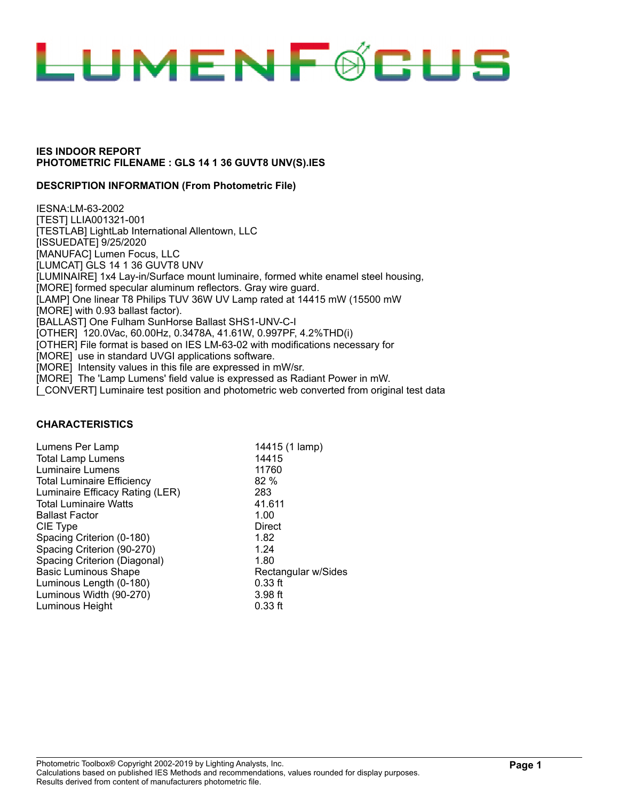

### **DESCRIPTION INFORMATION (From Photometric File)**

IESNA:LM-63-2002 [TEST] LLIA001321-001 [TESTLAB] LightLab International Allentown, LLC [ISSUEDATE] 9/25/2020 [MANUFAC] Lumen Focus, LLC [LUMCAT] GLS 14 1 36 GUVT8 UNV [LUMINAIRE] 1x4 Lay-in/Surface mount luminaire, formed white enamel steel housing, [MORE] formed specular aluminum reflectors. Gray wire guard. [LAMP] One linear T8 Philips TUV 36W UV Lamp rated at 14415 mW (15500 mW [MORE] with 0.93 ballast factor). [BALLAST] One Fulham SunHorse Ballast SHS1-UNV-C-I [OTHER] 120.0Vac, 60.00Hz, 0.3478A, 41.61W, 0.997PF, 4.2%THD(i) [OTHER] File format is based on IES LM-63-02 with modifications necessary for [MORE] use in standard UVGI applications software. [MORE] Intensity values in this file are expressed in mW/sr. [MORE] The 'Lamp Lumens' field value is expressed as Radiant Power in mW. [CONVERT] Luminaire test position and photometric web converted from original test data

#### **CHARACTERISTICS**

| Lumens Per Lamp                   | 14415 (1 lamp)      |
|-----------------------------------|---------------------|
| <b>Total Lamp Lumens</b>          | 14415               |
| Luminaire Lumens                  | 11760               |
| <b>Total Luminaire Efficiency</b> | 82%                 |
| Luminaire Efficacy Rating (LER)   | 283                 |
| <b>Total Luminaire Watts</b>      | 41.611              |
| <b>Ballast Factor</b>             | 1.00                |
| CIE Type                          | Direct              |
| Spacing Criterion (0-180)         | 1.82                |
| Spacing Criterion (90-270)        | 1.24                |
| Spacing Criterion (Diagonal)      | 1.80                |
| <b>Basic Luminous Shape</b>       | Rectangular w/Sides |
| Luminous Length (0-180)           | $0.33$ ft           |
| Luminous Width (90-270)           | $3.98$ ft           |
| Luminous Height                   | $0.33$ ft           |
|                                   |                     |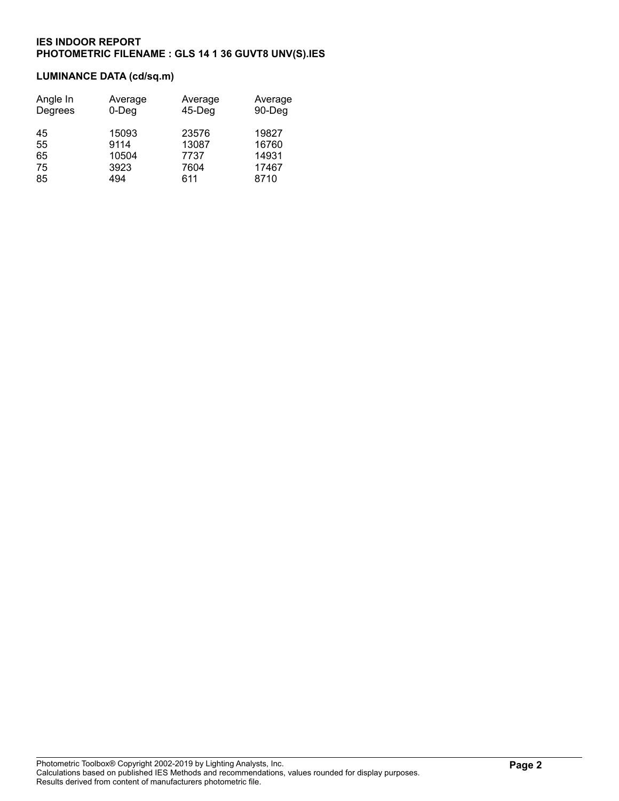# **LUMINANCE DATA (cd/sq.m)**

| Angle In | Average  | Average   | Average |
|----------|----------|-----------|---------|
| Degrees  | $0$ -Deg | $45-$ Deg | 90-Deg  |
| 45       | 15093    | 23576     | 19827   |
| 55       | 9114     | 13087     | 16760   |
| 65       | 10504    | 7737      | 14931   |
| 75       | 3923     | 7604      | 17467   |
| 85       | 494      | 611       | 8710    |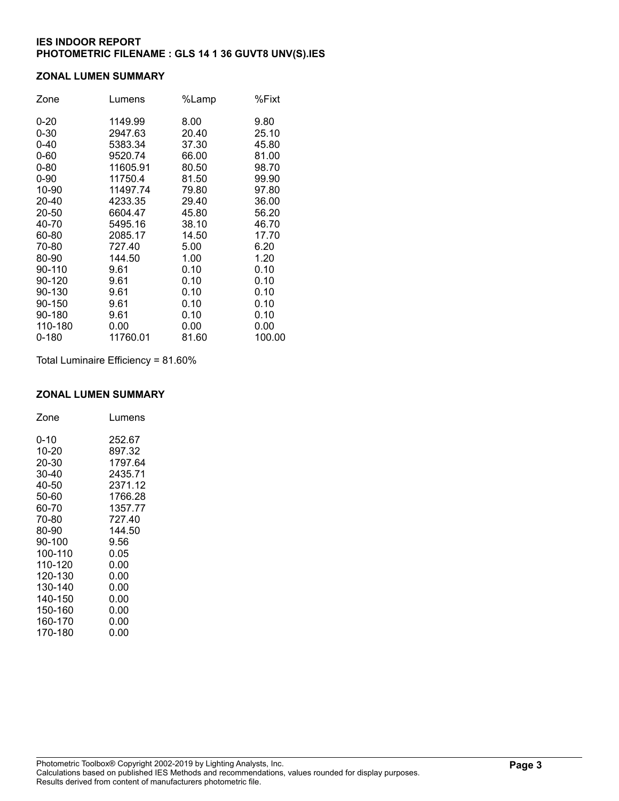### **ZONAL LUMEN SUMMARY**

| Zone      | Lumens   | %Lamp | %Fixt  |
|-----------|----------|-------|--------|
| $0 - 20$  | 1149.99  | 8.00  | 9.80   |
| $0 - 30$  | 2947.63  | 20.40 | 25.10  |
| $0 - 40$  | 5383.34  | 37.30 | 45.80  |
| $0 - 60$  | 9520.74  | 66.00 | 81.00  |
| $0 - 80$  | 11605.91 | 80.50 | 98.70  |
| $0 - 90$  | 11750.4  | 81.50 | 99.90  |
| 10-90     | 11497.74 | 79.80 | 97.80  |
| 20-40     | 4233.35  | 29.40 | 36.00  |
| 20-50     | 6604.47  | 45.80 | 56.20  |
| 40-70     | 5495.16  | 38.10 | 46.70  |
| 60-80     | 2085.17  | 14.50 | 17.70  |
| 70-80     | 727.40   | 5.00  | 6.20   |
| 80-90     | 144.50   | 1.00  | 1.20   |
| 90-110    | 9.61     | 0.10  | 0.10   |
| 90-120    | 9.61     | 0.10  | 0.10   |
| 90-130    | 9.61     | 0.10  | 0.10   |
| 90-150    | 9.61     | 0.10  | 0.10   |
| 90-180    | 9.61     | 0.10  | 0.10   |
| 110-180   | 0.00     | 0.00  | 0.00   |
| $0 - 180$ | 11760.01 | 81.60 | 100.00 |

Total Luminaire Efficiency = 81.60%

#### **ZONAL LUMEN SUMMARY**

| Zone    | Lumens  |
|---------|---------|
| 0-10    | 252.67  |
| 10-20   | 897.32  |
| 20-30   | 1797.64 |
| 30-40   | 2435.71 |
| 40-50   | 2371.12 |
| 50-60   | 1766.28 |
| 60-70   | 1357.77 |
| 70-80   | 727.40  |
| 80-90   | 144.50  |
| 90-100  | 9.56    |
| 100-110 | 0.05    |
| 110-120 | 0.00    |
| 120-130 | 0.00    |
| 130-140 | 0.00    |
| 140-150 | 0.00    |
| 150-160 | 0.00    |
| 160-170 | 0.00    |
| 170-180 | 0.00    |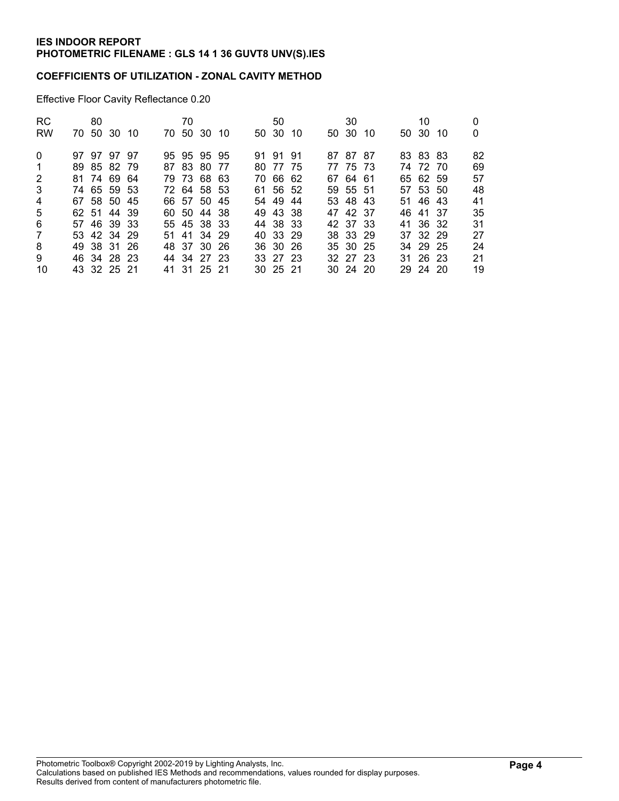## **COEFFICIENTS OF UTILIZATION - ZONAL CAVITY METHOD**

Effective Floor Cavity Reflectance 0.20

| 80 |  |                                                                                                                                                                                  |  |    |                                                                                                                                                                                  |  |                                                                                                                                                    | 30 |                                                                                                                                              | 10 |                                                                                                                                              | 0<br>$\Omega$ |
|----|--|----------------------------------------------------------------------------------------------------------------------------------------------------------------------------------|--|----|----------------------------------------------------------------------------------------------------------------------------------------------------------------------------------|--|----------------------------------------------------------------------------------------------------------------------------------------------------|----|----------------------------------------------------------------------------------------------------------------------------------------------|----|----------------------------------------------------------------------------------------------------------------------------------------------|---------------|
|    |  |                                                                                                                                                                                  |  |    |                                                                                                                                                                                  |  |                                                                                                                                                    |    |                                                                                                                                              |    |                                                                                                                                              | 82            |
|    |  |                                                                                                                                                                                  |  |    |                                                                                                                                                                                  |  |                                                                                                                                                    |    |                                                                                                                                              |    |                                                                                                                                              | 69            |
|    |  |                                                                                                                                                                                  |  |    |                                                                                                                                                                                  |  |                                                                                                                                                    |    |                                                                                                                                              |    |                                                                                                                                              | 57            |
|    |  |                                                                                                                                                                                  |  |    |                                                                                                                                                                                  |  |                                                                                                                                                    |    |                                                                                                                                              |    |                                                                                                                                              | 48            |
|    |  |                                                                                                                                                                                  |  |    |                                                                                                                                                                                  |  |                                                                                                                                                    |    |                                                                                                                                              |    |                                                                                                                                              | 41            |
|    |  |                                                                                                                                                                                  |  |    |                                                                                                                                                                                  |  |                                                                                                                                                    |    |                                                                                                                                              |    |                                                                                                                                              | 35            |
|    |  |                                                                                                                                                                                  |  |    |                                                                                                                                                                                  |  |                                                                                                                                                    |    |                                                                                                                                              |    |                                                                                                                                              | 31            |
|    |  |                                                                                                                                                                                  |  |    |                                                                                                                                                                                  |  |                                                                                                                                                    |    |                                                                                                                                              |    |                                                                                                                                              | 27            |
|    |  |                                                                                                                                                                                  |  |    |                                                                                                                                                                                  |  |                                                                                                                                                    |    |                                                                                                                                              |    |                                                                                                                                              | 24            |
|    |  |                                                                                                                                                                                  |  |    |                                                                                                                                                                                  |  |                                                                                                                                                    |    |                                                                                                                                              |    |                                                                                                                                              | 21            |
|    |  |                                                                                                                                                                                  |  |    |                                                                                                                                                                                  |  |                                                                                                                                                    |    |                                                                                                                                              |    |                                                                                                                                              | 19            |
|    |  | 70 50 30 10<br>97 97 97 97<br>89 85 82 79<br>81 74 69 64<br>74 65 59 53<br>67 58 50 45<br>62 51 44 39<br>57 46 39 33<br>53 42 34 29<br>49 38 31 26<br>46 34 28 23<br>43 32 25 21 |  | 70 | 70 50 30 10<br>95 95 95 95<br>87 83 80 77<br>79 73 68 63<br>72 64 58 53<br>66 57 50 45<br>60 50 44 38<br>55 45 38 33<br>51 41 34 29<br>48 37 30 26<br>44 34 27 23<br>41 31 25 21 |  | 50<br>50 30 10<br>91 91 91<br>80 77 75<br>70 66 62<br>61 56 52<br>54 49 44<br>49 43 38<br>44 38 33<br>40 33 29<br>36 30 26<br>33 27 23<br>30 25 21 |    | 50 30 10<br>87 87 87<br>77 75 73<br>67 64 61<br>59 55 51<br>53 48 43<br>47 42 37<br>42 37 33<br>38 33 29<br>35 30 25<br>32 27 23<br>30 24 20 |    | 50 30 10<br>83 83 83<br>74 72 70<br>65 62 59<br>57 53 50<br>51 46 43<br>46 41 37<br>41 36 32<br>37 32 29<br>34 29 25<br>31 26 23<br>29 24 20 |               |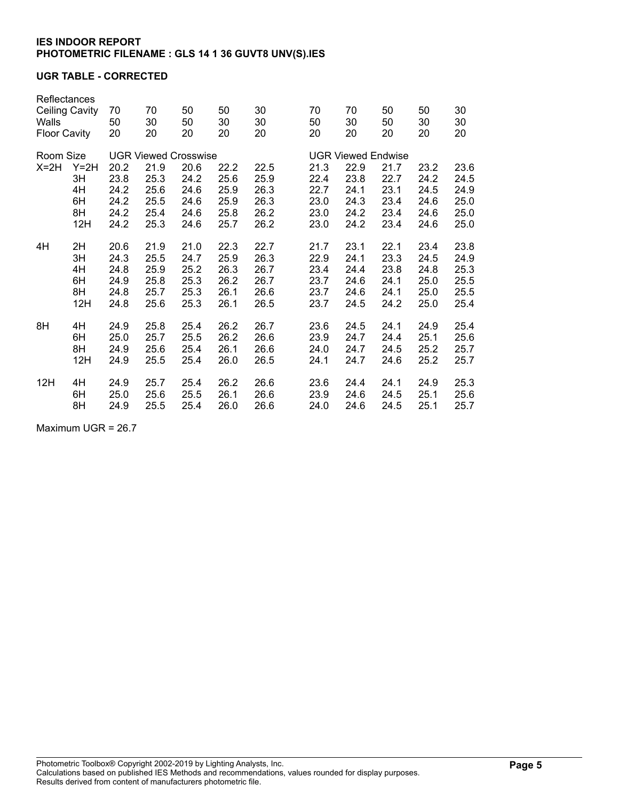### **UGR TABLE - CORRECTED**

| Reflectances<br>Ceiling Cavity<br>Walls<br><b>Floor Cavity</b> |        | 70<br>50<br>20 | 70<br>30<br>20              | 50<br>50<br>20 | 50<br>30<br>20 | 30<br>30<br>20 | 70<br>50<br>20            | 70<br>30<br>20 | 50<br>50<br>20 | 50<br>30<br>20 | 30<br>30<br>20 |  |  |
|----------------------------------------------------------------|--------|----------------|-----------------------------|----------------|----------------|----------------|---------------------------|----------------|----------------|----------------|----------------|--|--|
| Room Size                                                      |        |                | <b>UGR Viewed Crosswise</b> |                |                |                | <b>UGR Viewed Endwise</b> |                |                |                |                |  |  |
| $X=2H$                                                         | $Y=2H$ | 20.2           | 21.9                        | 20.6           | 22.2           | 22.5           | 21.3                      | 22.9           | 21.7           | 23.2           | 23.6           |  |  |
|                                                                | 3H     | 23.8           | 25.3                        | 24.2           | 25.6           | 25.9           | 22.4                      | 23.8           | 22.7           | 24.2           | 24.5           |  |  |
|                                                                | 4H     | 24.2           | 25.6                        | 24.6           | 25.9           | 26.3           | 22.7                      | 24.1           | 23.1           | 24.5           | 24.9           |  |  |
|                                                                | 6H     | 24.2           | 25.5                        | 24.6           | 25.9           | 26.3           | 23.0                      | 24.3           | 23.4           | 24.6           | 25.0           |  |  |
|                                                                | 8H     | 24.2           | 25.4                        | 24.6           | 25.8           | 26.2           | 23.0                      | 24.2           | 23.4           | 24.6           | 25.0           |  |  |
|                                                                | 12H    | 24.2           | 25.3                        | 24.6           | 25.7           | 26.2           | 23.0                      | 24.2           | 23.4           | 24.6           | 25.0           |  |  |
| 4H                                                             | 2H     | 20.6           | 21.9                        | 21.0           | 22.3           | 22.7           | 21.7                      | 23.1           | 22.1           | 23.4           | 23.8           |  |  |
|                                                                | 3H     | 24.3           | 25.5                        | 24.7           | 25.9           | 26.3           | 22.9                      | 24.1           | 23.3           | 24.5           | 24.9           |  |  |
|                                                                | 4H     | 24.8           | 25.9                        | 25.2           | 26.3           | 26.7           | 23.4                      | 24.4           | 23.8           | 24.8           | 25.3           |  |  |
|                                                                | 6H     | 24.9           | 25.8                        | 25.3           | 26.2           | 26.7           | 23.7                      | 24.6           | 24.1           | 25.0           | 25.5           |  |  |
|                                                                | 8H     | 24.8           | 25.7                        | 25.3           | 26.1           | 26.6           | 23.7                      | 24.6           | 24.1           | 25.0           | 25.5           |  |  |
|                                                                | 12H    | 24.8           | 25.6                        | 25.3           | 26.1           | 26.5           | 23.7                      | 24.5           | 24.2           | 25.0           | 25.4           |  |  |
| 8H                                                             | 4H     | 24.9           | 25.8                        | 25.4           | 26.2           | 26.7           | 23.6                      | 24.5           | 24.1           | 24.9           | 25.4           |  |  |
|                                                                | 6H     | 25.0           | 25.7                        | 25.5           | 26.2           | 26.6           | 23.9                      | 24.7           | 24.4           | 25.1           | 25.6           |  |  |
|                                                                | 8H     | 24.9           | 25.6                        | 25.4           | 26.1           | 26.6           | 24.0                      | 24.7           | 24.5           | 25.2           | 25.7           |  |  |
|                                                                | 12H    | 24.9           | 25.5                        | 25.4           | 26.0           | 26.5           | 24.1                      | 24.7           | 24.6           | 25.2           | 25.7           |  |  |
| 12H                                                            | 4H     | 24.9           | 25.7                        | 25.4           | 26.2           | 26.6           | 23.6                      | 24.4           | 24.1           | 24.9           | 25.3           |  |  |
|                                                                | 6H     | 25.0           | 25.6                        | 25.5           | 26.1           | 26.6           | 23.9                      | 24.6           | 24.5           | 25.1           | 25.6           |  |  |
|                                                                | 8H     | 24.9           | 25.5                        | 25.4           | 26.0           | 26.6           | 24.0                      | 24.6           | 24.5           | 25.1           | 25.7           |  |  |

Maximum UGR = 26.7